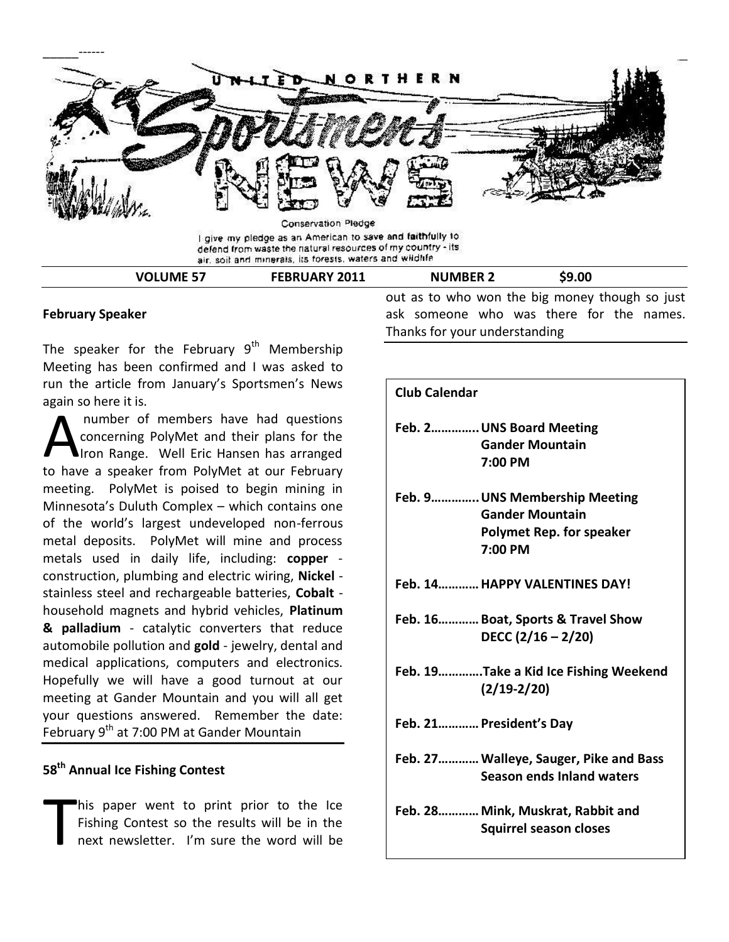

#### **February Speaker**

The speaker for the February  $9<sup>th</sup>$  Membership Meeting has been confirmed and I was asked to run the article from January's Sportsmen's News again so here it is.

number of members have had questions concerning PolyMet and their plans for the Iron Range. Well Eric Hansen has arranged number of members have had questions<br>
concerning PolyMet and their plans for the<br>
Iron Range. Well Eric Hansen has arranged<br>
to have a speaker from PolyMet at our February meeting. PolyMet is poised to begin mining in Minnesota's Duluth Complex – which contains one of the world's largest undeveloped non-ferrous metal deposits. PolyMet will mine and process metals used in daily life, including: **copper** construction, plumbing and electric wiring, **Nickel** stainless steel and rechargeable batteries, **Cobalt** household magnets and hybrid vehicles, **Platinum & palladium** - catalytic converters that reduce automobile pollution and **gold** - jewelry, dental and medical applications, computers and electronics. Hopefully we will have a good turnout at our meeting at Gander Mountain and you will all get your questions answered. Remember the date: February 9<sup>th</sup> at 7:00 PM at Gander Mountain

## **58th Annual Ice Fishing Contest**

his paper went to print prior to the Ice Fishing Contest so the results will be in the next newsletter. I'm sure the word will be T

out as to who won the big money though so just ask someone who was there for the names. Thanks for your understanding

| <b>Club Calendar</b>                                                                                  |
|-------------------------------------------------------------------------------------------------------|
| Feb. 2UNS Board Meeting<br><b>Gander Mountain</b><br>7:00 PM                                          |
| Feb. 9 UNS Membership Meeting<br><b>Gander Mountain</b><br><b>Polymet Rep. for speaker</b><br>7:00 PM |
| Feb. 14 HAPPY VALENTINES DAY!                                                                         |
| Feb. 16 Boat, Sports & Travel Show<br>DECC $(2/16 - 2/20)$                                            |
| Feb. 19Take a Kid Ice Fishing Weekend<br>$(2/19 - 2/20)$                                              |
| Feb. 21 President's Day                                                                               |
| Feb. 27 Walleye, Sauger, Pike and Bass<br>Season ends Inland waters                                   |
| Feb. 28 Mink, Muskrat, Rabbit and<br><b>Squirrel season closes</b>                                    |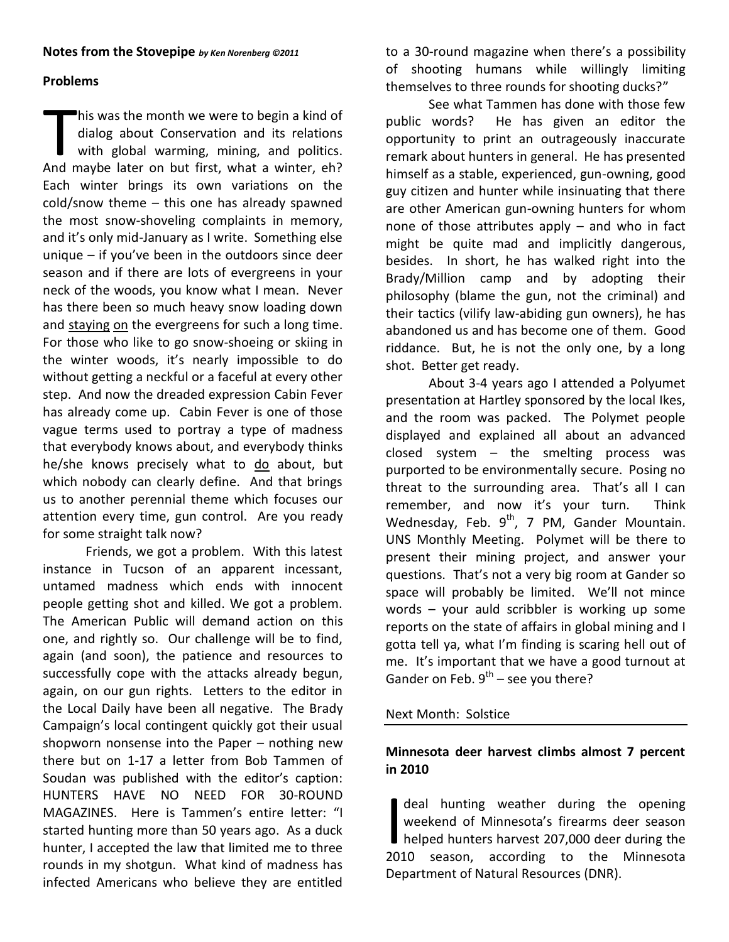#### **Notes from the Stovepipe** *by Ken Norenberg ©2011*

## **Problems**

his was the month we were to begin a kind of dialog about Conservation and its relations with global warming, mining, and politics. his was the month we were to begin a kind of dialog about Conservation and its relations with global warming, mining, and politics.<br>And maybe later on but first, what a winter, eh? Each winter brings its own variations on the cold/snow theme – this one has already spawned the most snow-shoveling complaints in memory, and it's only mid-January as I write. Something else unique – if you've been in the outdoors since deer season and if there are lots of evergreens in your neck of the woods, you know what I mean. Never has there been so much heavy snow loading down and staying on the evergreens for such a long time. For those who like to go snow-shoeing or skiing in the winter woods, it's nearly impossible to do without getting a neckful or a faceful at every other step. And now the dreaded expression Cabin Fever has already come up. Cabin Fever is one of those vague terms used to portray a type of madness that everybody knows about, and everybody thinks he/she knows precisely what to do about, but which nobody can clearly define. And that brings us to another perennial theme which focuses our attention every time, gun control. Are you ready for some straight talk now?

Friends, we got a problem. With this latest instance in Tucson of an apparent incessant, untamed madness which ends with innocent people getting shot and killed. We got a problem. The American Public will demand action on this one, and rightly so. Our challenge will be to find, again (and soon), the patience and resources to successfully cope with the attacks already begun, again, on our gun rights. Letters to the editor in the Local Daily have been all negative. The Brady Campaign's local contingent quickly got their usual shopworn nonsense into the Paper – nothing new there but on 1-17 a letter from Bob Tammen of Soudan was published with the editor's caption: HUNTERS HAVE NO NEED FOR 30-ROUND MAGAZINES. Here is Tammen's entire letter: "I started hunting more than 50 years ago. As a duck hunter, I accepted the law that limited me to three rounds in my shotgun. What kind of madness has infected Americans who believe they are entitled

to a 30-round magazine when there's a possibility of shooting humans while willingly limiting themselves to three rounds for shooting ducks?"

See what Tammen has done with those few public words? He has given an editor the opportunity to print an outrageously inaccurate remark about hunters in general. He has presented himself as a stable, experienced, gun-owning, good guy citizen and hunter while insinuating that there are other American gun-owning hunters for whom none of those attributes apply – and who in fact might be quite mad and implicitly dangerous, besides. In short, he has walked right into the Brady/Million camp and by adopting their philosophy (blame the gun, not the criminal) and their tactics (vilify law-abiding gun owners), he has abandoned us and has become one of them. Good riddance. But, he is not the only one, by a long shot. Better get ready.

About 3-4 years ago I attended a Polyumet presentation at Hartley sponsored by the local Ikes, and the room was packed. The Polymet people displayed and explained all about an advanced closed system – the smelting process was purported to be environmentally secure. Posing no threat to the surrounding area. That's all I can remember, and now it's your turn. Think Wednesday, Feb.  $9^{th}$ , 7 PM, Gander Mountain. UNS Monthly Meeting. Polymet will be there to present their mining project, and answer your questions. That's not a very big room at Gander so space will probably be limited. We'll not mince words – your auld scribbler is working up some reports on the state of affairs in global mining and I gotta tell ya, what I'm finding is scaring hell out of me. It's important that we have a good turnout at Gander on Feb.  $9^{th}$  – see you there?

## Next Month: Solstice

## **Minnesota deer harvest climbs almost 7 percent in 2010**

deal hunting weather during the opening weekend of Minnesota's firearms deer season helped hunters harvest 207,000 deer during the deal hunting weather during the opening<br>weekend of Minnesota's firearms deer season<br>helped hunters harvest 207,000 deer during the<br>2010 season, according to the Minnesota Department of Natural Resources (DNR).